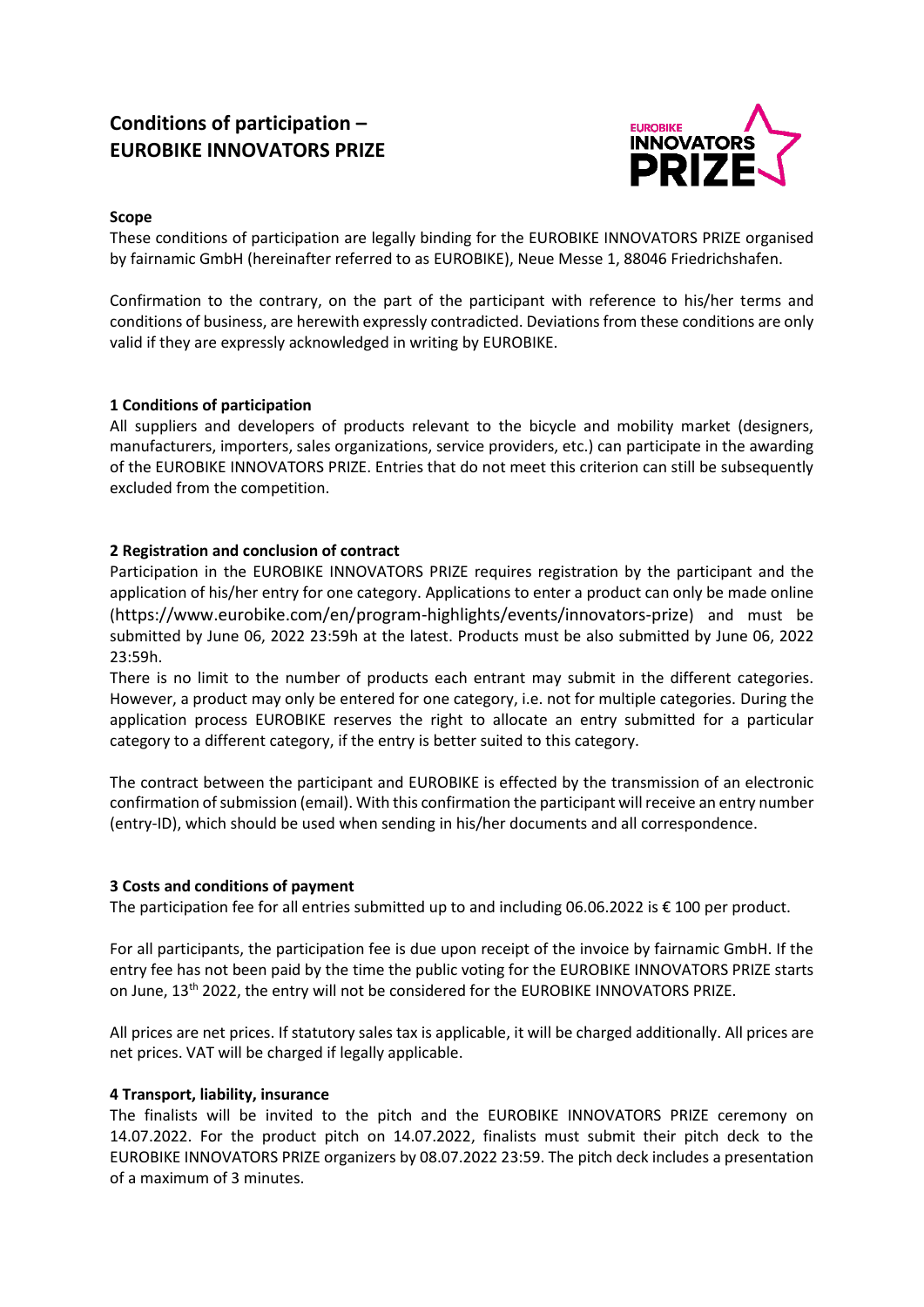# **Conditions of participation – EUROBIKE INNOVATORS PRIZE**



# **Scope**

These conditions of participation are legally binding for the EUROBIKE INNOVATORS PRIZE organised by fairnamic GmbH (hereinafter referred to as EUROBIKE), Neue Messe 1, 88046 Friedrichshafen.

Confirmation to the contrary, on the part of the participant with reference to his/her terms and conditions of business, are herewith expressly contradicted. Deviations from these conditions are only valid if they are expressly acknowledged in writing by EUROBIKE.

# **1 Conditions of participation**

All suppliers and developers of products relevant to the bicycle and mobility market (designers, manufacturers, importers, sales organizations, service providers, etc.) can participate in the awarding of the EUROBIKE INNOVATORS PRIZE. Entries that do not meet this criterion can still be subsequently excluded from the competition.

# **2 Registration and conclusion of contract**

Participation in the EUROBIKE INNOVATORS PRIZE requires registration by the participant and the application of his/her entry for one category. Applications to enter a product can only be made online (https://www.eurobike.com/en/program-highlights/events/innovators-prize) and must be submitted by June 06, 2022 23:59h at the latest. Products must be also submitted by June 06, 2022 23:59h.

There is no limit to the number of products each entrant may submit in the different categories. However, a product may only be entered for one category, i.e. not for multiple categories. During the application process EUROBIKE reserves the right to allocate an entry submitted for a particular category to a different category, if the entry is better suited to this category.

The contract between the participant and EUROBIKE is effected by the transmission of an electronic confirmation of submission (email). With this confirmation the participant will receive an entry number (entry-ID), which should be used when sending in his/her documents and all correspondence.

# **3 Costs and conditions of payment**

The participation fee for all entries submitted up to and including 06.06.2022 is € 100 per product.

For all participants, the participation fee is due upon receipt of the invoice by fairnamic GmbH. If the entry fee has not been paid by the time the public voting for the EUROBIKE INNOVATORS PRIZE starts on June, 13<sup>th</sup> 2022, the entry will not be considered for the EUROBIKE INNOVATORS PRIZE.

All prices are net prices. If statutory sales tax is applicable, it will be charged additionally. All prices are net prices. VAT will be charged if legally applicable.

# **4 Transport, liability, insurance**

The finalists will be invited to the pitch and the EUROBIKE INNOVATORS PRIZE ceremony on 14.07.2022. For the product pitch on 14.07.2022, finalists must submit their pitch deck to the EUROBIKE INNOVATORS PRIZE organizers by 08.07.2022 23:59. The pitch deck includes a presentation of a maximum of 3 minutes.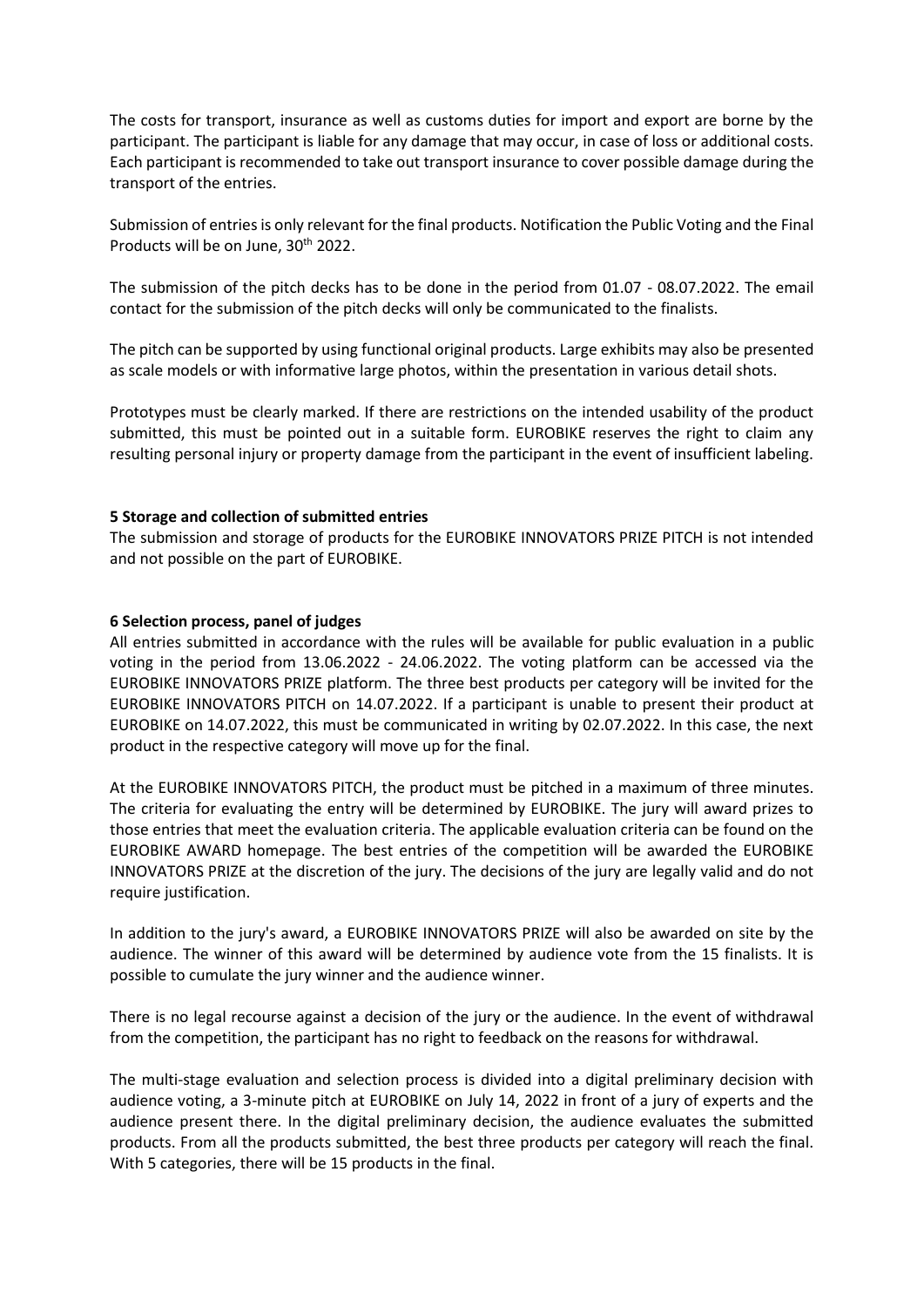The costs for transport, insurance as well as customs duties for import and export are borne by the participant. The participant is liable for any damage that may occur, in case of loss or additional costs. Each participant is recommended to take out transport insurance to cover possible damage during the transport of the entries.

Submission of entries is only relevant for the final products. Notification the Public Voting and the Final Products will be on June, 30<sup>th</sup> 2022.

The submission of the pitch decks has to be done in the period from 01.07 - 08.07.2022. The email contact for the submission of the pitch decks will only be communicated to the finalists.

The pitch can be supported by using functional original products. Large exhibits may also be presented as scale models or with informative large photos, within the presentation in various detail shots.

Prototypes must be clearly marked. If there are restrictions on the intended usability of the product submitted, this must be pointed out in a suitable form. EUROBIKE reserves the right to claim any resulting personal injury or property damage from the participant in the event of insufficient labeling.

## **5 Storage and collection of submitted entries**

The submission and storage of products for the EUROBIKE INNOVATORS PRIZE PITCH is not intended and not possible on the part of EUROBIKE.

## **6 Selection process, panel of judges**

All entries submitted in accordance with the rules will be available for public evaluation in a public voting in the period from 13.06.2022 - 24.06.2022. The voting platform can be accessed via the EUROBIKE INNOVATORS PRIZE platform. The three best products per category will be invited for the EUROBIKE INNOVATORS PITCH on 14.07.2022. If a participant is unable to present their product at EUROBIKE on 14.07.2022, this must be communicated in writing by 02.07.2022. In this case, the next product in the respective category will move up for the final.

At the EUROBIKE INNOVATORS PITCH, the product must be pitched in a maximum of three minutes. The criteria for evaluating the entry will be determined by EUROBIKE. The jury will award prizes to those entries that meet the evaluation criteria. The applicable evaluation criteria can be found on the EUROBIKE AWARD homepage. The best entries of the competition will be awarded the EUROBIKE INNOVATORS PRIZE at the discretion of the jury. The decisions of the jury are legally valid and do not require justification.

In addition to the jury's award, a EUROBIKE INNOVATORS PRIZE will also be awarded on site by the audience. The winner of this award will be determined by audience vote from the 15 finalists. It is possible to cumulate the jury winner and the audience winner.

There is no legal recourse against a decision of the jury or the audience. In the event of withdrawal from the competition, the participant has no right to feedback on the reasons for withdrawal.

The multi-stage evaluation and selection process is divided into a digital preliminary decision with audience voting, a 3-minute pitch at EUROBIKE on July 14, 2022 in front of a jury of experts and the audience present there. In the digital preliminary decision, the audience evaluates the submitted products. From all the products submitted, the best three products per category will reach the final. With 5 categories, there will be 15 products in the final.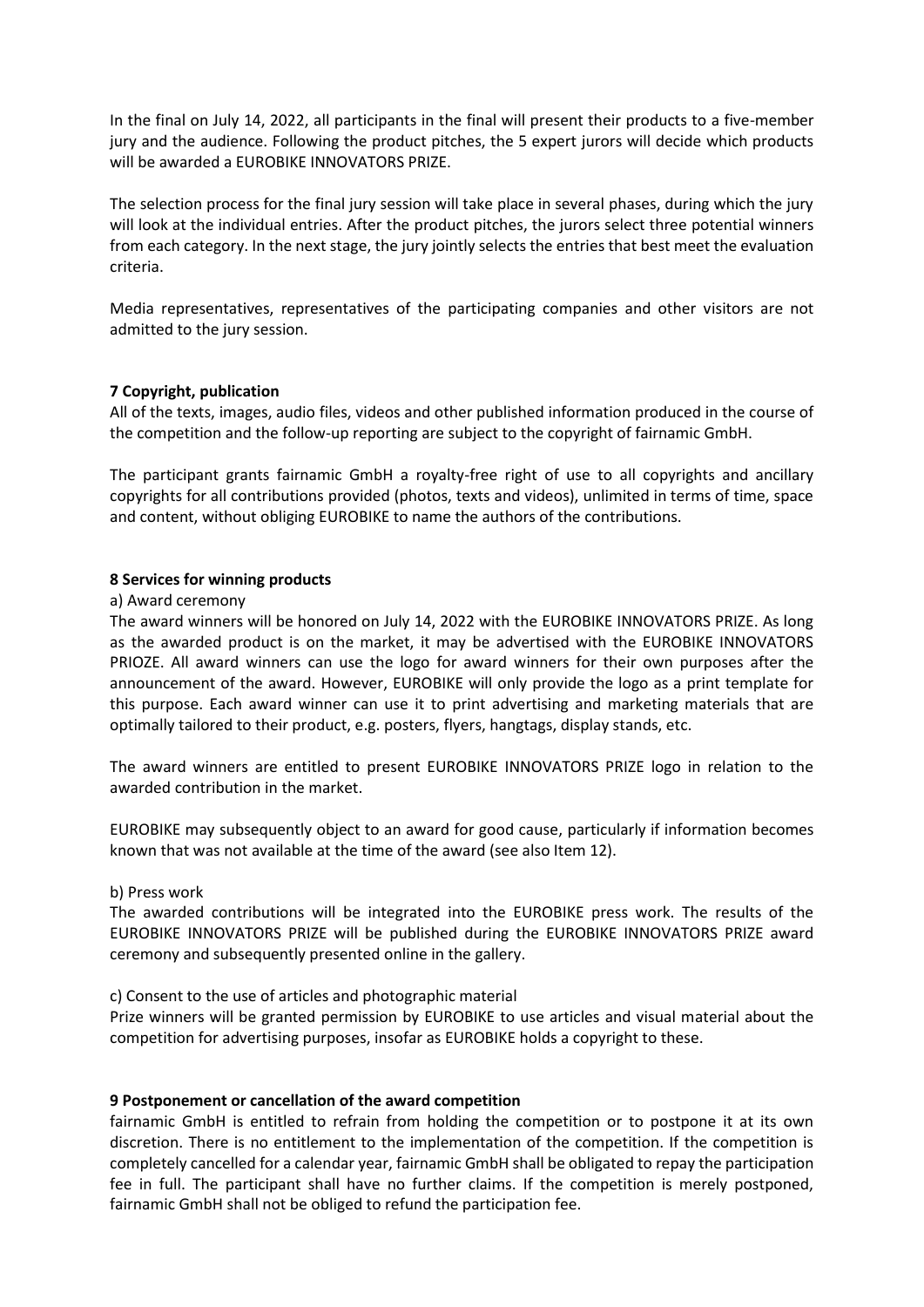In the final on July 14, 2022, all participants in the final will present their products to a five-member jury and the audience. Following the product pitches, the 5 expert jurors will decide which products will be awarded a EUROBIKE INNOVATORS PRIZE.

The selection process for the final jury session will take place in several phases, during which the jury will look at the individual entries. After the product pitches, the jurors select three potential winners from each category. In the next stage, the jury jointly selects the entries that best meet the evaluation criteria.

Media representatives, representatives of the participating companies and other visitors are not admitted to the jury session.

# **7 Copyright, publication**

All of the texts, images, audio files, videos and other published information produced in the course of the competition and the follow-up reporting are subject to the copyright of fairnamic GmbH.

The participant grants fairnamic GmbH a royalty-free right of use to all copyrights and ancillary copyrights for all contributions provided (photos, texts and videos), unlimited in terms of time, space and content, without obliging EUROBIKE to name the authors of the contributions.

## **8 Services for winning products**

#### a) Award ceremony

The award winners will be honored on July 14, 2022 with the EUROBIKE INNOVATORS PRIZE. As long as the awarded product is on the market, it may be advertised with the EUROBIKE INNOVATORS PRIOZE. All award winners can use the logo for award winners for their own purposes after the announcement of the award. However, EUROBIKE will only provide the logo as a print template for this purpose. Each award winner can use it to print advertising and marketing materials that are optimally tailored to their product, e.g. posters, flyers, hangtags, display stands, etc.

The award winners are entitled to present EUROBIKE INNOVATORS PRIZE logo in relation to the awarded contribution in the market.

EUROBIKE may subsequently object to an award for good cause, particularly if information becomes known that was not available at the time of the award (see also Item 12).

#### b) Press work

The awarded contributions will be integrated into the EUROBIKE press work. The results of the EUROBIKE INNOVATORS PRIZE will be published during the EUROBIKE INNOVATORS PRIZE award ceremony and subsequently presented online in the gallery.

c) Consent to the use of articles and photographic material

Prize winners will be granted permission by EUROBIKE to use articles and visual material about the competition for advertising purposes, insofar as EUROBIKE holds a copyright to these.

# **9 Postponement or cancellation of the award competition**

fairnamic GmbH is entitled to refrain from holding the competition or to postpone it at its own discretion. There is no entitlement to the implementation of the competition. If the competition is completely cancelled for a calendar year, fairnamic GmbH shall be obligated to repay the participation fee in full. The participant shall have no further claims. If the competition is merely postponed, fairnamic GmbH shall not be obliged to refund the participation fee.